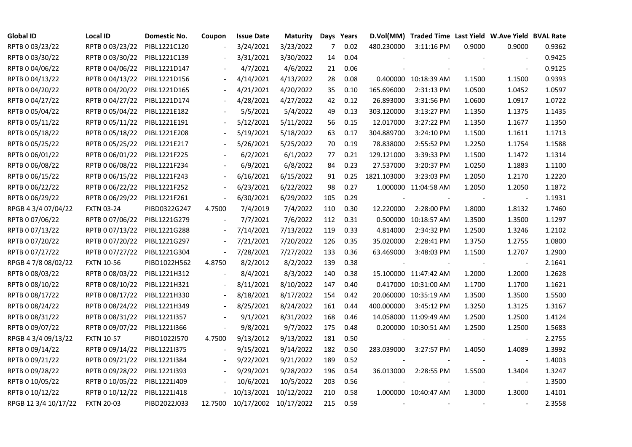| <b>Global ID</b>     | <b>Local ID</b>   | Domestic No. | Coupon                   | <b>Issue Date</b> | <b>Maturity</b>       |     | Days Years |                          | D.Vol(MM) Traded Time Last Yield W.Ave Yield BVAL Rate |        |                          |        |
|----------------------|-------------------|--------------|--------------------------|-------------------|-----------------------|-----|------------|--------------------------|--------------------------------------------------------|--------|--------------------------|--------|
| RPTB 0 03/23/22      | RPTB 0 03/23/22   | PIBL1221C120 |                          | 3/24/2021         | 3/23/2022             | 7   | 0.02       | 480.230000               | 3:11:16 PM                                             | 0.9000 | 0.9000                   | 0.9362 |
| RPTB 0 03/30/22      | RPTB 0 03/30/22   | PIBL1221C139 |                          | 3/31/2021         | 3/30/2022             | 14  | 0.04       |                          |                                                        |        |                          | 0.9425 |
| RPTB 0 04/06/22      | RPTB 0 04/06/22   | PIBL1221D147 |                          | 4/7/2021          | 4/6/2022              | 21  | 0.06       |                          |                                                        |        |                          | 0.9125 |
| RPTB 0 04/13/22      | RPTB 0 04/13/22   | PIBL1221D156 | $\overline{\phantom{a}}$ | 4/14/2021         | 4/13/2022             | 28  | 0.08       |                          | 0.400000 10:18:39 AM                                   | 1.1500 | 1.1500                   | 0.9393 |
| RPTB 0 04/20/22      | RPTB 0 04/20/22   | PIBL1221D165 |                          | 4/21/2021         | 4/20/2022             | 35  | 0.10       | 165.696000               | 2:31:13 PM                                             | 1.0500 | 1.0452                   | 1.0597 |
| RPTB 0 04/27/22      | RPTB 0 04/27/22   | PIBL1221D174 |                          | 4/28/2021         | 4/27/2022             | 42  | 0.12       | 26.893000                | 3:31:56 PM                                             | 1.0600 | 1.0917                   | 1.0722 |
| RPTB 0 05/04/22      | RPTB 0 05/04/22   | PIBL1221E182 |                          | 5/5/2021          | 5/4/2022              | 49  | 0.13       | 303.120000               | 3:13:27 PM                                             | 1.1350 | 1.1375                   | 1.1435 |
| RPTB 0 05/11/22      | RPTB 0 05/11/22   | PIBL1221E191 |                          | 5/12/2021         | 5/11/2022             | 56  | 0.15       | 12.017000                | 3:27:22 PM                                             | 1.1350 | 1.1677                   | 1.1350 |
| RPTB 0 05/18/22      | RPTB 0 05/18/22   | PIBL1221E208 |                          | 5/19/2021         | 5/18/2022             | 63  | 0.17       | 304.889700               | 3:24:10 PM                                             | 1.1500 | 1.1611                   | 1.1713 |
| RPTB 0 05/25/22      | RPTB 0 05/25/22   | PIBL1221E217 | $\overline{\phantom{a}}$ | 5/26/2021         | 5/25/2022             | 70  | 0.19       | 78.838000                | 2:55:52 PM                                             | 1.2250 | 1.1754                   | 1.1588 |
| RPTB 0 06/01/22      | RPTB 0 06/01/22   | PIBL1221F225 | $\overline{\phantom{a}}$ | 6/2/2021          | 6/1/2022              | 77  | 0.21       | 129.121000               | 3:39:33 PM                                             | 1.1500 | 1.1472                   | 1.1314 |
| RPTB 0 06/08/22      | RPTB 0 06/08/22   | PIBL1221F234 |                          | 6/9/2021          | 6/8/2022              | 84  | 0.23       | 27.537000                | 3:20:37 PM                                             | 1.0250 | 1.1883                   | 1.1100 |
| RPTB 0 06/15/22      | RPTB 0 06/15/22   | PIBL1221F243 |                          | 6/16/2021         | 6/15/2022             | 91  | 0.25       | 1821.103000              | 3:23:03 PM                                             | 1.2050 | 1.2170                   | 1.2220 |
| RPTB 0 06/22/22      | RPTB 0 06/22/22   | PIBL1221F252 |                          | 6/23/2021         | 6/22/2022             | 98  | 0.27       |                          | 1.000000 11:04:58 AM                                   | 1.2050 | 1.2050                   | 1.1872 |
| RPTB 0 06/29/22      | RPTB 0 06/29/22   | PIBL1221F261 | $\overline{\phantom{a}}$ | 6/30/2021         | 6/29/2022             | 105 | 0.29       |                          |                                                        |        | $\overline{\phantom{a}}$ | 1.1931 |
| RPGB 4 3/4 07/04/22  | <b>FXTN 03-24</b> | PIBD0322G247 | 4.7500                   | 7/4/2019          | 7/4/2022              | 110 | 0.30       | 12.220000                | 2:28:00 PM                                             | 1.8000 | 1.8132                   | 1.7460 |
| RPTB 0 07/06/22      | RPTB 0 07/06/22   | PIBL1221G279 |                          | 7/7/2021          | 7/6/2022              | 112 | 0.31       |                          | 0.500000 10:18:57 AM                                   | 1.3500 | 1.3500                   | 1.1297 |
| RPTB 0 07/13/22      | RPTB 0 07/13/22   | PIBL1221G288 | $\blacksquare$           | 7/14/2021         | 7/13/2022             | 119 | 0.33       | 4.814000                 | 2:34:32 PM                                             | 1.2500 | 1.3246                   | 1.2102 |
| RPTB 0 07/20/22      | RPTB 0 07/20/22   | PIBL1221G297 | $\overline{\phantom{a}}$ | 7/21/2021         | 7/20/2022             | 126 | 0.35       | 35.020000                | 2:28:41 PM                                             | 1.3750 | 1.2755                   | 1.0800 |
| RPTB 0 07/27/22      | RPTB 0 07/27/22   | PIBL1221G304 | $\blacksquare$           | 7/28/2021         | 7/27/2022             | 133 | 0.36       | 63.469000                | 3:48:03 PM                                             | 1.1500 | 1.2707                   | 1.2900 |
| RPGB 4 7/8 08/02/22  | <b>FXTN 10-56</b> | PIBD1022H562 | 4.8750                   | 8/2/2012          | 8/2/2022              | 139 | 0.38       | $\overline{\phantom{a}}$ |                                                        |        | $\overline{\phantom{a}}$ | 2.1641 |
| RPTB 0 08/03/22      | RPTB 0 08/03/22   | PIBL1221H312 |                          | 8/4/2021          | 8/3/2022              | 140 | 0.38       |                          | 15.100000 11:47:42 AM                                  | 1.2000 | 1.2000                   | 1.2628 |
| RPTB 0 08/10/22      | RPTB 0 08/10/22   | PIBL1221H321 |                          | 8/11/2021         | 8/10/2022             | 147 | 0.40       |                          | 0.417000 10:31:00 AM                                   | 1.1700 | 1.1700                   | 1.1621 |
| RPTB 0 08/17/22      | RPTB 0 08/17/22   | PIBL1221H330 |                          | 8/18/2021         | 8/17/2022             | 154 | 0.42       |                          | 20.060000 10:35:19 AM                                  | 1.3500 | 1.3500                   | 1.5500 |
| RPTB 0 08/24/22      | RPTB 0 08/24/22   | PIBL1221H349 | $\overline{\phantom{a}}$ | 8/25/2021         | 8/24/2022             | 161 | 0.44       | 400.000000               | 3:45:12 PM                                             | 1.3250 | 1.3125                   | 1.3167 |
| RPTB 0 08/31/22      | RPTB 0 08/31/22   | PIBL1221I357 |                          | 9/1/2021          | 8/31/2022             | 168 | 0.46       |                          | 14.058000 11:09:49 AM                                  | 1.2500 | 1.2500                   | 1.4124 |
| RPTB 0 09/07/22      | RPTB 0 09/07/22   | PIBL1221I366 | $\overline{\phantom{a}}$ | 9/8/2021          | 9/7/2022              | 175 | 0.48       |                          | 0.200000 10:30:51 AM                                   | 1.2500 | 1.2500                   | 1.5683 |
| RPGB 4 3/4 09/13/22  | <b>FXTN 10-57</b> | PIBD1022I570 | 4.7500                   | 9/13/2012         | 9/13/2022             | 181 | 0.50       | $\overline{\phantom{a}}$ |                                                        |        | $\overline{\phantom{a}}$ | 2.2755 |
| RPTB 0 09/14/22      | RPTB 0 09/14/22   | PIBL1221I375 |                          | 9/15/2021         | 9/14/2022             | 182 | 0.50       | 283.039000               | 3:27:57 PM                                             | 1.4050 | 1.4089                   | 1.3992 |
| RPTB 0 09/21/22      | RPTB 0 09/21/22   | PIBL1221I384 |                          | 9/22/2021         | 9/21/2022             | 189 | 0.52       |                          |                                                        |        |                          | 1.4003 |
| RPTB 0 09/28/22      | RPTB 0 09/28/22   | PIBL1221I393 |                          | 9/29/2021         | 9/28/2022             | 196 | 0.54       | 36.013000                | 2:28:55 PM                                             | 1.5500 | 1.3404                   | 1.3247 |
| RPTB 0 10/05/22      | RPTB 0 10/05/22   | PIBL1221J409 |                          | 10/6/2021         | 10/5/2022             | 203 | 0.56       |                          |                                                        |        | $\overline{\phantom{a}}$ | 1.3500 |
| RPTB 0 10/12/22      | RPTB 0 10/12/22   | PIBL1221J418 |                          | 10/13/2021        | 10/12/2022            | 210 | 0.58       |                          | 1.000000 10:40:47 AM                                   | 1.3000 | 1.3000                   | 1.4101 |
| RPGB 12 3/4 10/17/22 | <b>FXTN 20-03</b> | PIBD2022J033 | 12.7500                  |                   | 10/17/2002 10/17/2022 | 215 | 0.59       |                          |                                                        |        |                          | 2.3558 |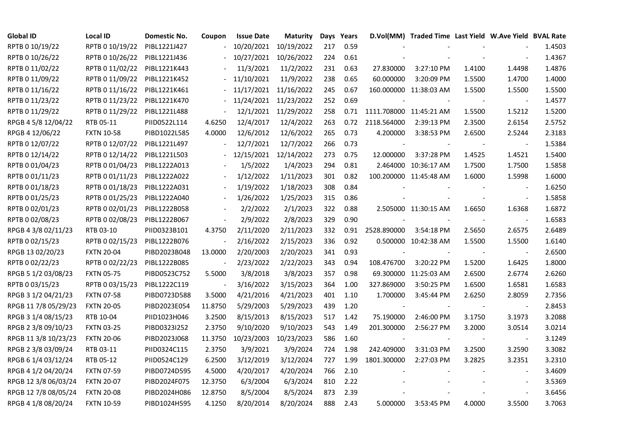| <b>Global ID</b>     | Local ID          | Domestic No. | Coupon                   | <b>Issue Date</b> | Maturity              |     | Days Years |                         | D.Vol(MM) Traded Time Last Yield W.Ave Yield BVAL Rate |        |                          |        |
|----------------------|-------------------|--------------|--------------------------|-------------------|-----------------------|-----|------------|-------------------------|--------------------------------------------------------|--------|--------------------------|--------|
| RPTB 0 10/19/22      | RPTB 0 10/19/22   | PIBL1221J427 |                          | 10/20/2021        | 10/19/2022            | 217 | 0.59       |                         |                                                        |        |                          | 1.4503 |
| RPTB 0 10/26/22      | RPTB 0 10/26/22   | PIBL1221J436 |                          | 10/27/2021        | 10/26/2022            | 224 | 0.61       |                         |                                                        |        |                          | 1.4367 |
| RPTB 0 11/02/22      | RPTB 0 11/02/22   | PIBL1221K443 |                          | 11/3/2021         | 11/2/2022             | 231 | 0.63       | 27.830000               | 3:27:10 PM                                             | 1.4100 | 1.4498                   | 1.4876 |
| RPTB 0 11/09/22      | RPTB 0 11/09/22   | PIBL1221K452 |                          | 11/10/2021        | 11/9/2022             | 238 | 0.65       | 60.000000               | 3:20:09 PM                                             | 1.5500 | 1.4700                   | 1.4000 |
| RPTB 0 11/16/22      | RPTB 0 11/16/22   | PIBL1221K461 |                          |                   | 11/17/2021 11/16/2022 | 245 | 0.67       |                         | 160.000000 11:38:03 AM                                 | 1.5500 | 1.5500                   | 1.5500 |
| RPTB 0 11/23/22      | RPTB 0 11/23/22   | PIBL1221K470 |                          |                   | 11/24/2021 11/23/2022 | 252 | 0.69       |                         |                                                        |        |                          | 1.4577 |
| RPTB 0 11/29/22      | RPTB 0 11/29/22   | PIBL1221L488 | $\blacksquare$           |                   | 12/1/2021 11/29/2022  | 258 | 0.71       | 1111.708000 11:45:21 AM |                                                        | 1.5500 | 1.5212                   | 1.5200 |
| RPGB 4 5/8 12/04/22  | RTB 05-11         | PIID0522L114 | 4.6250                   | 12/4/2017         | 12/4/2022             | 263 | 0.72       | 2118.564000             | 2:39:13 PM                                             | 2.3500 | 2.6154                   | 2.5752 |
| RPGB 4 12/06/22      | <b>FXTN 10-58</b> | PIBD1022L585 | 4.0000                   | 12/6/2012         | 12/6/2022             | 265 | 0.73       | 4.200000                | 3:38:53 PM                                             | 2.6500 | 2.5244                   | 2.3183 |
| RPTB 0 12/07/22      | RPTB 0 12/07/22   | PIBL1221L497 |                          | 12/7/2021         | 12/7/2022             | 266 | 0.73       |                         |                                                        |        |                          | 1.5384 |
| RPTB 0 12/14/22      | RPTB 0 12/14/22   | PIBL1221L503 |                          | 12/15/2021        | 12/14/2022            | 273 | 0.75       | 12.000000               | 3:37:28 PM                                             | 1.4525 | 1.4521                   | 1.5400 |
| RPTB 0 01/04/23      | RPTB 0 01/04/23   | PIBL1222A013 |                          | 1/5/2022          | 1/4/2023              | 294 | 0.81       |                         | 2.464000 10:36:17 AM                                   | 1.7500 | 1.7500                   | 1.5858 |
| RPTB 0 01/11/23      | RPTB 0 01/11/23   | PIBL1222A022 |                          | 1/12/2022         | 1/11/2023             | 301 | 0.82       |                         | 100.200000 11:45:48 AM                                 | 1.6000 | 1.5998                   | 1.6000 |
| RPTB 0 01/18/23      | RPTB 0 01/18/23   | PIBL1222A031 |                          | 1/19/2022         | 1/18/2023             | 308 | 0.84       |                         |                                                        |        | $\blacksquare$           | 1.6250 |
| RPTB 0 01/25/23      | RPTB 0 01/25/23   | PIBL1222A040 |                          | 1/26/2022         | 1/25/2023             | 315 | 0.86       |                         |                                                        |        | $\blacksquare$           | 1.5858 |
| RPTB 0 02/01/23      | RPTB 0 02/01/23   | PIBL1222B058 |                          | 2/2/2022          | 2/1/2023              | 322 | 0.88       |                         | 2.505000 11:30:15 AM                                   | 1.6650 | 1.6368                   | 1.6872 |
| RPTB 0 02/08/23      | RPTB 0 02/08/23   | PIBL1222B067 | $\overline{\phantom{a}}$ | 2/9/2022          | 2/8/2023              | 329 | 0.90       |                         |                                                        |        |                          | 1.6583 |
| RPGB 4 3/8 02/11/23  | RTB 03-10         | PIID0323B101 | 4.3750                   | 2/11/2020         | 2/11/2023             | 332 | 0.91       | 2528.890000             | 3:54:18 PM                                             | 2.5650 | 2.6575                   | 2.6489 |
| RPTB 0 02/15/23      | RPTB 0 02/15/23   | PIBL1222B076 | $\blacksquare$           | 2/16/2022         | 2/15/2023             | 336 | 0.92       |                         | 0.500000 10:42:38 AM                                   | 1.5500 | 1.5500                   | 1.6140 |
| RPGB 13 02/20/23     | <b>FXTN 20-04</b> | PIBD2023B048 | 13.0000                  | 2/20/2003         | 2/20/2023             | 341 | 0.93       | $\blacksquare$          |                                                        |        | $\blacksquare$           | 2.6500 |
| RPTB 0 02/22/23      | RPTB 0 02/22/23   | PIBL1222B085 | $\blacksquare$           | 2/23/2022         | 2/22/2023             | 343 | 0.94       | 108.476700              | 3:20:22 PM                                             | 1.5200 | 1.6425                   | 1.8000 |
| RPGB 5 1/2 03/08/23  | <b>FXTN 05-75</b> | PIBD0523C752 | 5.5000                   | 3/8/2018          | 3/8/2023              | 357 | 0.98       |                         | 69.300000 11:25:03 AM                                  | 2.6500 | 2.6774                   | 2.6260 |
| RPTB 0 03/15/23      | RPTB 0 03/15/23   | PIBL1222C119 |                          | 3/16/2022         | 3/15/2023             | 364 | 1.00       | 327.869000              | 3:50:25 PM                                             | 1.6500 | 1.6581                   | 1.6583 |
| RPGB 3 1/2 04/21/23  | <b>FXTN 07-58</b> | PIBD0723D588 | 3.5000                   | 4/21/2016         | 4/21/2023             | 401 | 1.10       | 1.700000                | 3:45:44 PM                                             | 2.6250 | 2.8059                   | 2.7356 |
| RPGB 11 7/8 05/29/23 | <b>FXTN 20-05</b> | PIBD2023E054 | 11.8750                  | 5/29/2003         | 5/29/2023             | 439 | 1.20       |                         |                                                        |        | $\overline{\phantom{a}}$ | 2.8453 |
| RPGB 3 1/4 08/15/23  | RTB 10-04         | PIID1023H046 | 3.2500                   | 8/15/2013         | 8/15/2023             | 517 | 1.42       | 75.190000               | 2:46:00 PM                                             | 3.1750 | 3.1973                   | 3.2088 |
| RPGB 2 3/8 09/10/23  | <b>FXTN 03-25</b> | PIBD0323I252 | 2.3750                   | 9/10/2020         | 9/10/2023             | 543 | 1.49       | 201.300000              | 2:56:27 PM                                             | 3.2000 | 3.0514                   | 3.0214 |
| RPGB 11 3/8 10/23/23 | <b>FXTN 20-06</b> | PIBD2023J068 | 11.3750                  | 10/23/2003        | 10/23/2023            | 586 | 1.60       | $\blacksquare$          |                                                        |        | $\blacksquare$           | 3.1249 |
| RPGB 2 3/8 03/09/24  | RTB 03-11         | PIID0324C115 | 2.3750                   | 3/9/2021          | 3/9/2024              | 724 | 1.98       | 242.409000              | 3:31:03 PM                                             | 3.2500 | 3.2590                   | 3.3082 |
| RPGB 6 1/4 03/12/24  | RTB 05-12         | PIID0524C129 | 6.2500                   | 3/12/2019         | 3/12/2024             | 727 | 1.99       | 1801.300000             | 2:27:03 PM                                             | 3.2825 | 3.2351                   | 3.2310 |
| RPGB 4 1/2 04/20/24  | <b>FXTN 07-59</b> | PIBD0724D595 | 4.5000                   | 4/20/2017         | 4/20/2024             | 766 | 2.10       |                         |                                                        |        |                          | 3.4609 |
| RPGB 12 3/8 06/03/24 | <b>FXTN 20-07</b> | PIBD2024F075 | 12.3750                  | 6/3/2004          | 6/3/2024              | 810 | 2.22       |                         |                                                        |        |                          | 3.5369 |
| RPGB 12 7/8 08/05/24 | <b>FXTN 20-08</b> | PIBD2024H086 | 12.8750                  | 8/5/2004          | 8/5/2024              | 873 | 2.39       |                         |                                                        |        |                          | 3.6456 |
| RPGB 4 1/8 08/20/24  | <b>FXTN 10-59</b> | PIBD1024H595 | 4.1250                   | 8/20/2014         | 8/20/2024             | 888 | 2.43       | 5.000000                | 3:53:45 PM                                             | 4.0000 | 3.5500                   | 3.7063 |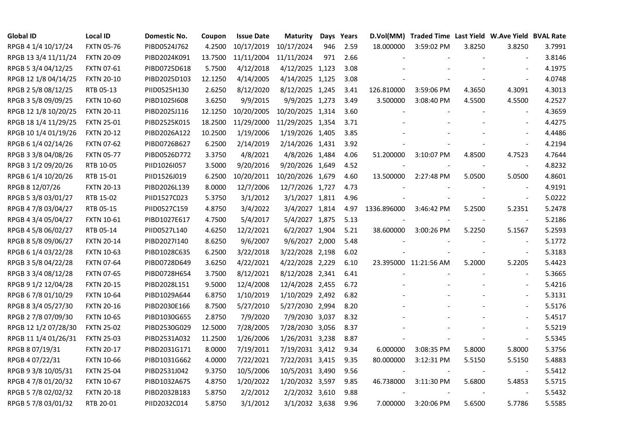| <b>Global ID</b>     | <b>Local ID</b>   | Domestic No. | Coupon  | <b>Issue Date</b> | <b>Maturity</b>  |     | Days Years |             | D.Vol(MM) Traded Time Last Yield W.Ave Yield BVAL Rate |        |                          |        |
|----------------------|-------------------|--------------|---------|-------------------|------------------|-----|------------|-------------|--------------------------------------------------------|--------|--------------------------|--------|
| RPGB 4 1/4 10/17/24  | <b>FXTN 05-76</b> | PIBD0524J762 | 4.2500  | 10/17/2019        | 10/17/2024       | 946 | 2.59       | 18.000000   | 3:59:02 PM                                             | 3.8250 | 3.8250                   | 3.7991 |
| RPGB 13 3/4 11/11/24 | <b>FXTN 20-09</b> | PIBD2024K091 | 13.7500 | 11/11/2004        | 11/11/2024       | 971 | 2.66       |             |                                                        |        |                          | 3.8146 |
| RPGB 5 3/4 04/12/25  | FXTN 07-61        | PIBD0725D618 | 5.7500  | 4/12/2018         | 4/12/2025 1,123  |     | 3.08       |             |                                                        |        | $\blacksquare$           | 4.1975 |
| RPGB 12 1/8 04/14/25 | <b>FXTN 20-10</b> | PIBD2025D103 | 12.1250 | 4/14/2005         | 4/14/2025 1,125  |     | 3.08       |             |                                                        |        | $\blacksquare$           | 4.0748 |
| RPGB 2 5/8 08/12/25  | RTB 05-13         | PIID0525H130 | 2.6250  | 8/12/2020         | 8/12/2025 1,245  |     | 3.41       | 126.810000  | 3:59:06 PM                                             | 4.3650 | 4.3091                   | 4.3013 |
| RPGB 3 5/8 09/09/25  | <b>FXTN 10-60</b> | PIBD10251608 | 3.6250  | 9/9/2015          | 9/9/2025 1,273   |     | 3.49       | 3.500000    | 3:08:40 PM                                             | 4.5500 | 4.5500                   | 4.2527 |
| RPGB 12 1/8 10/20/25 | <b>FXTN 20-11</b> | PIBD2025J116 | 12.1250 | 10/20/2005        | 10/20/2025 1,314 |     | 3.60       |             |                                                        |        | $\blacksquare$           | 4.3659 |
| RPGB 18 1/4 11/29/25 | <b>FXTN 25-01</b> | PIBD2525K015 | 18.2500 | 11/29/2000        | 11/29/2025 1,354 |     | 3.71       |             |                                                        |        | $\blacksquare$           | 4.4275 |
| RPGB 10 1/4 01/19/26 | <b>FXTN 20-12</b> | PIBD2026A122 | 10.2500 | 1/19/2006         | 1/19/2026 1,405  |     | 3.85       |             |                                                        |        |                          | 4.4486 |
| RPGB 6 1/4 02/14/26  | <b>FXTN 07-62</b> | PIBD0726B627 | 6.2500  | 2/14/2019         | 2/14/2026 1,431  |     | 3.92       |             |                                                        |        | $\blacksquare$           | 4.2194 |
| RPGB 3 3/8 04/08/26  | <b>FXTN 05-77</b> | PIBD0526D772 | 3.3750  | 4/8/2021          | 4/8/2026 1,484   |     | 4.06       | 51.200000   | 3:10:07 PM                                             | 4.8500 | 4.7523                   | 4.7644 |
| RPGB 3 1/2 09/20/26  | RTB 10-05         | PIID1026I057 | 3.5000  | 9/20/2016         | 9/20/2026 1,649  |     | 4.52       |             |                                                        |        | $\blacksquare$           | 4.8232 |
| RPGB 6 1/4 10/20/26  | RTB 15-01         | PIID1526J019 | 6.2500  | 10/20/2011        | 10/20/2026 1,679 |     | 4.60       | 13.500000   | 2:27:48 PM                                             | 5.0500 | 5.0500                   | 4.8601 |
| RPGB 8 12/07/26      | <b>FXTN 20-13</b> | PIBD2026L139 | 8.0000  | 12/7/2006         | 12/7/2026 1,727  |     | 4.73       |             |                                                        |        | $\blacksquare$           | 4.9191 |
| RPGB 5 3/8 03/01/27  | RTB 15-02         | PIID1527C023 | 5.3750  | 3/1/2012          | 3/1/2027 1,811   |     | 4.96       |             |                                                        |        | $\overline{\phantom{a}}$ | 5.0222 |
| RPGB 4 7/8 03/04/27  | RTB 05-15         | PIID0527C159 | 4.8750  | 3/4/2022          | 3/4/2027 1,814   |     | 4.97       | 1336.896000 | 3:46:42 PM                                             | 5.2500 | 5.2351                   | 5.2478 |
| RPGB 4 3/4 05/04/27  | <b>FXTN 10-61</b> | PIBD1027E617 | 4.7500  | 5/4/2017          | 5/4/2027 1,875   |     | 5.13       |             |                                                        |        | $\overline{\phantom{a}}$ | 5.2186 |
| RPGB 4 5/8 06/02/27  | RTB 05-14         | PIID0527L140 | 4.6250  | 12/2/2021         | 6/2/2027 1,904   |     | 5.21       | 38.600000   | 3:00:26 PM                                             | 5.2250 | 5.1567                   | 5.2593 |
| RPGB 8 5/8 09/06/27  | <b>FXTN 20-14</b> | PIBD2027I140 | 8.6250  | 9/6/2007          | 9/6/2027 2,000   |     | 5.48       |             |                                                        |        | $\overline{\phantom{a}}$ | 5.1772 |
| RPGB 6 1/4 03/22/28  | <b>FXTN 10-63</b> | PIBD1028C635 | 6.2500  | 3/22/2018         | 3/22/2028 2,198  |     | 6.02       |             |                                                        |        | $\sim$                   | 5.3183 |
| RPGB 3 5/8 04/22/28  | <b>FXTN 07-64</b> | PIBD0728D649 | 3.6250  | 4/22/2021         | 4/22/2028 2,229  |     | 6.10       |             | 23.395000 11:21:56 AM                                  | 5.2000 | 5.2205                   | 5.4423 |
| RPGB 3 3/4 08/12/28  | <b>FXTN 07-65</b> | PIBD0728H654 | 3.7500  | 8/12/2021         | 8/12/2028 2,341  |     | 6.41       |             |                                                        |        | $\overline{\phantom{a}}$ | 5.3665 |
| RPGB 9 1/2 12/04/28  | <b>FXTN 20-15</b> | PIBD2028L151 | 9.5000  | 12/4/2008         | 12/4/2028 2,455  |     | 6.72       |             |                                                        |        |                          | 5.4216 |
| RPGB 67/8 01/10/29   | <b>FXTN 10-64</b> | PIBD1029A644 | 6.8750  | 1/10/2019         | 1/10/2029 2,492  |     | 6.82       |             |                                                        |        | $\overline{\phantom{a}}$ | 5.3131 |
| RPGB 8 3/4 05/27/30  | <b>FXTN 20-16</b> | PIBD2030E166 | 8.7500  | 5/27/2010         | 5/27/2030 2,994  |     | 8.20       |             |                                                        |        | $\overline{\phantom{a}}$ | 5.5176 |
| RPGB 2 7/8 07/09/30  | <b>FXTN 10-65</b> | PIBD1030G655 | 2.8750  | 7/9/2020          | 7/9/2030 3,037   |     | 8.32       |             |                                                        |        |                          | 5.4517 |
| RPGB 12 1/2 07/28/30 | <b>FXTN 25-02</b> | PIBD2530G029 | 12.5000 | 7/28/2005         | 7/28/2030 3,056  |     | 8.37       |             |                                                        |        | $\blacksquare$           | 5.5219 |
| RPGB 11 1/4 01/26/31 | <b>FXTN 25-03</b> | PIBD2531A032 | 11.2500 | 1/26/2006         | 1/26/2031 3,238  |     | 8.87       |             |                                                        |        | $\omega$                 | 5.5345 |
| RPGB 8 07/19/31      | <b>FXTN 20-17</b> | PIBD2031G171 | 8.0000  | 7/19/2011         | 7/19/2031 3,412  |     | 9.34       | 6.000000    | 3:08:35 PM                                             | 5.8000 | 5.8000                   | 5.3756 |
| RPGB 4 07/22/31      | <b>FXTN 10-66</b> | PIBD1031G662 | 4.0000  | 7/22/2021         | 7/22/2031 3,415  |     | 9.35       | 80.000000   | 3:12:31 PM                                             | 5.5150 | 5.5150                   | 5.4883 |
| RPGB 9 3/8 10/05/31  | <b>FXTN 25-04</b> | PIBD2531J042 | 9.3750  | 10/5/2006         | 10/5/2031 3,490  |     | 9.56       |             |                                                        |        |                          | 5.5412 |
| RPGB 4 7/8 01/20/32  | <b>FXTN 10-67</b> | PIBD1032A675 | 4.8750  | 1/20/2022         | 1/20/2032 3,597  |     | 9.85       | 46.738000   | 3:11:30 PM                                             | 5.6800 | 5.4853                   | 5.5715 |
| RPGB 5 7/8 02/02/32  | <b>FXTN 20-18</b> | PIBD2032B183 | 5.8750  | 2/2/2012          | 2/2/2032 3,610   |     | 9.88       |             |                                                        |        | $\blacksquare$           | 5.5432 |
| RPGB 5 7/8 03/01/32  | RTB 20-01         | PIID2032C014 | 5.8750  | 3/1/2012          | 3/1/2032 3,638   |     | 9.96       | 7.000000    | 3:20:06 PM                                             | 5.6500 | 5.7786                   | 5.5585 |